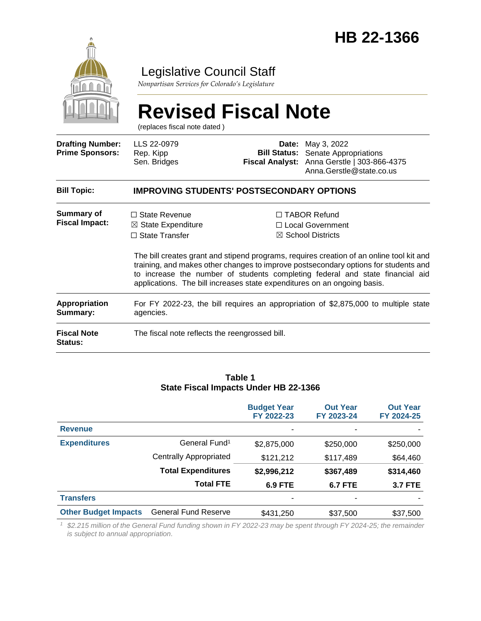

### Legislative Council Staff

*Nonpartisan Services for Colorado's Legislature*

# **Revised Fiscal Note**

(replaces fiscal note dated )

| <b>Drafting Number:</b><br><b>Prime Sponsors:</b> | LLS 22-0979<br>Rep. Kipp<br>Sen. Bridges                                                                                                                   |  | <b>Date:</b> May 3, 2022<br><b>Bill Status:</b> Senate Appropriations<br>Fiscal Analyst: Anna Gerstle   303-866-4375<br>Anna.Gerstle@state.co.us                                                                                                                                                                                              |  |  |
|---------------------------------------------------|------------------------------------------------------------------------------------------------------------------------------------------------------------|--|-----------------------------------------------------------------------------------------------------------------------------------------------------------------------------------------------------------------------------------------------------------------------------------------------------------------------------------------------|--|--|
| <b>Bill Topic:</b>                                | <b>IMPROVING STUDENTS' POSTSECONDARY OPTIONS</b>                                                                                                           |  |                                                                                                                                                                                                                                                                                                                                               |  |  |
| Summary of<br><b>Fiscal Impact:</b>               | $\Box$ State Revenue<br>$\boxtimes$ State Expenditure<br>$\Box$ State Transfer<br>applications. The bill increases state expenditures on an ongoing basis. |  | $\Box$ TABOR Refund<br>□ Local Government<br>$\boxtimes$ School Districts<br>The bill creates grant and stipend programs, requires creation of an online tool kit and<br>training, and makes other changes to improve postsecondary options for students and<br>to increase the number of students completing federal and state financial aid |  |  |
| Appropriation<br>Summary:                         | For FY 2022-23, the bill requires an appropriation of \$2,875,000 to multiple state<br>agencies.                                                           |  |                                                                                                                                                                                                                                                                                                                                               |  |  |
| <b>Fiscal Note</b><br>Status:                     | The fiscal note reflects the reengrossed bill.                                                                                                             |  |                                                                                                                                                                                                                                                                                                                                               |  |  |

#### **Table 1 State Fiscal Impacts Under HB 22-1366**

|                             |                             | <b>Budget Year</b><br>FY 2022-23 | <b>Out Year</b><br>FY 2023-24 | <b>Out Year</b><br>FY 2024-25 |
|-----------------------------|-----------------------------|----------------------------------|-------------------------------|-------------------------------|
| <b>Revenue</b>              |                             |                                  |                               |                               |
| <b>Expenditures</b>         | General Fund <sup>1</sup>   | \$2,875,000                      | \$250,000                     | \$250,000                     |
|                             | Centrally Appropriated      | \$121,212                        | \$117,489                     | \$64,460                      |
|                             | <b>Total Expenditures</b>   | \$2,996,212                      | \$367,489                     | \$314,460                     |
|                             | <b>Total FTE</b>            | <b>6.9 FTE</b>                   | <b>6.7 FTE</b>                | <b>3.7 FTE</b>                |
| <b>Transfers</b>            |                             |                                  |                               |                               |
| <b>Other Budget Impacts</b> | <b>General Fund Reserve</b> | \$431,250                        | \$37,500                      | \$37,500                      |

*<sup>1</sup> \$2.215 million of the General Fund funding shown in FY 2022-23 may be spent through FY 2024-25; the remainder is subject to annual appropriation.*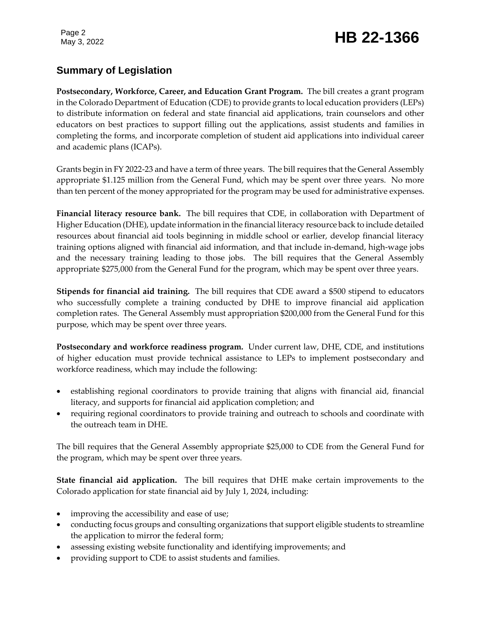## Page 2<br>May 3, 2022 **HB 22-1366**

#### **Summary of Legislation**

**Postsecondary, Workforce, Career, and Education Grant Program.** The bill creates a grant program in the Colorado Department of Education (CDE) to provide grants to local education providers (LEPs) to distribute information on federal and state financial aid applications, train counselors and other educators on best practices to support filling out the applications, assist students and families in completing the forms, and incorporate completion of student aid applications into individual career and academic plans (ICAPs).

Grants begin in FY 2022-23 and have a term of three years. The bill requires that the General Assembly appropriate \$1.125 million from the General Fund, which may be spent over three years. No more than ten percent of the money appropriated for the program may be used for administrative expenses.

**Financial literacy resource bank.** The bill requires that CDE, in collaboration with Department of Higher Education (DHE), update information in the financial literacy resource back to include detailed resources about financial aid tools beginning in middle school or earlier, develop financial literacy training options aligned with financial aid information, and that include in-demand, high-wage jobs and the necessary training leading to those jobs. The bill requires that the General Assembly appropriate \$275,000 from the General Fund for the program, which may be spent over three years.

**Stipends for financial aid training.** The bill requires that CDE award a \$500 stipend to educators who successfully complete a training conducted by DHE to improve financial aid application completion rates. The General Assembly must appropriation \$200,000 from the General Fund for this purpose, which may be spent over three years.

**Postsecondary and workforce readiness program.** Under current law, DHE, CDE, and institutions of higher education must provide technical assistance to LEPs to implement postsecondary and workforce readiness, which may include the following:

- establishing regional coordinators to provide training that aligns with financial aid, financial literacy, and supports for financial aid application completion; and
- requiring regional coordinators to provide training and outreach to schools and coordinate with the outreach team in DHE.

The bill requires that the General Assembly appropriate \$25,000 to CDE from the General Fund for the program, which may be spent over three years.

**State financial aid application.** The bill requires that DHE make certain improvements to the Colorado application for state financial aid by July 1, 2024, including:

- improving the accessibility and ease of use;
- conducting focus groups and consulting organizations that support eligible students to streamline the application to mirror the federal form;
- assessing existing website functionality and identifying improvements; and
- providing support to CDE to assist students and families.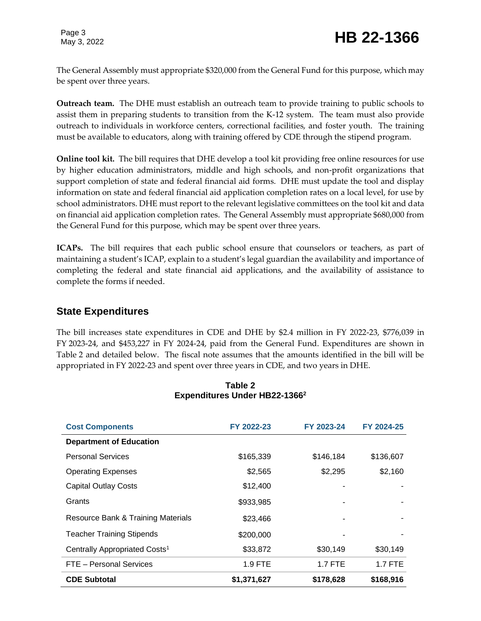The General Assembly must appropriate \$320,000 from the General Fund for this purpose, which may be spent over three years.

**Outreach team.** The DHE must establish an outreach team to provide training to public schools to assist them in preparing students to transition from the K-12 system. The team must also provide outreach to individuals in workforce centers, correctional facilities, and foster youth. The training must be available to educators, along with training offered by CDE through the stipend program.

**Online tool kit.** The bill requires that DHE develop a tool kit providing free online resources for use by higher education administrators, middle and high schools, and non-profit organizations that support completion of state and federal financial aid forms. DHE must update the tool and display information on state and federal financial aid application completion rates on a local level, for use by school administrators. DHE must report to the relevant legislative committees on the tool kit and data on financial aid application completion rates. The General Assembly must appropriate \$680,000 from the General Fund for this purpose, which may be spent over three years.

**ICAPs.** The bill requires that each public school ensure that counselors or teachers, as part of maintaining a student's ICAP, explain to a student's legal guardian the availability and importance of completing the federal and state financial aid applications, and the availability of assistance to complete the forms if needed.

#### **State Expenditures**

The bill increases state expenditures in CDE and DHE by \$2.4 million in FY 2022-23, \$776,039 in FY 2023-24, and \$453,227 in FY 2024-24, paid from the General Fund. Expenditures are shown in Table 2 and detailed below. The fiscal note assumes that the amounts identified in the bill will be appropriated in FY 2022-23 and spent over three years in CDE, and two years in DHE.

| <b>Cost Components</b>                    | FY 2022-23  | FY 2023-24 | FY 2024-25     |
|-------------------------------------------|-------------|------------|----------------|
| <b>Department of Education</b>            |             |            |                |
| <b>Personal Services</b>                  | \$165,339   | \$146,184  | \$136,607      |
| <b>Operating Expenses</b>                 | \$2,565     | \$2,295    | \$2,160        |
| <b>Capital Outlay Costs</b>               | \$12,400    |            |                |
| Grants                                    | \$933,985   |            |                |
| Resource Bank & Training Materials        | \$23,466    |            |                |
| <b>Teacher Training Stipends</b>          | \$200,000   |            |                |
| Centrally Appropriated Costs <sup>1</sup> | \$33,872    | \$30,149   | \$30,149       |
| FTE - Personal Services                   | $1.9$ FTE   | $1.7$ FTE  | <b>1.7 FTE</b> |
| <b>CDE Subtotal</b>                       | \$1,371,627 | \$178,628  | \$168,916      |

#### **Table 2 Expenditures Under HB22-1366<sup>2</sup>**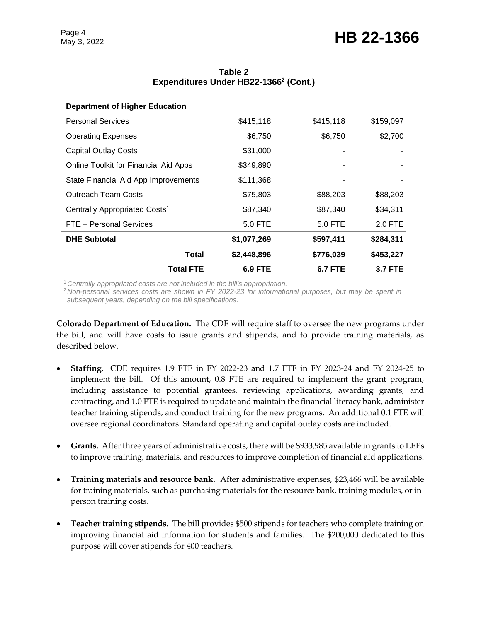| <b>Department of Higher Education</b>     |                |                |                |
|-------------------------------------------|----------------|----------------|----------------|
| <b>Personal Services</b>                  | \$415,118      | \$415,118      | \$159,097      |
| <b>Operating Expenses</b>                 | \$6,750        | \$6,750        | \$2,700        |
| <b>Capital Outlay Costs</b>               | \$31,000       |                |                |
| Online Toolkit for Financial Aid Apps     | \$349,890      |                |                |
| State Financial Aid App Improvements      | \$111,368      |                |                |
| <b>Outreach Team Costs</b>                | \$75,803       | \$88,203       | \$88,203       |
| Centrally Appropriated Costs <sup>1</sup> | \$87,340       | \$87,340       | \$34,311       |
| FTE - Personal Services                   | 5.0 FTE        | 5.0 FTE        | $2.0$ FTE      |
| <b>DHE Subtotal</b>                       | \$1,077,269    | \$597,411      | \$284,311      |
| Total                                     | \$2,448,896    | \$776,039      | \$453,227      |
| <b>Total FTE</b>                          | <b>6.9 FTE</b> | <b>6.7 FTE</b> | <b>3.7 FTE</b> |

**Table 2 Expenditures Under HB22-1366<sup>2</sup> (Cont.)**

<sup>1</sup>*Centrally appropriated costs are not included in the bill's appropriation.*

<sup>2</sup>*Non-personal services costs are shown in FY 2022-23 for informational purposes, but may be spent in subsequent years, depending on the bill specifications.* 

**Colorado Department of Education.** The CDE will require staff to oversee the new programs under the bill, and will have costs to issue grants and stipends, and to provide training materials, as described below.

- **Staffing.** CDE requires 1.9 FTE in FY 2022-23 and 1.7 FTE in FY 2023-24 and FY 2024-25 to implement the bill. Of this amount, 0.8 FTE are required to implement the grant program, including assistance to potential grantees, reviewing applications, awarding grants, and contracting, and 1.0 FTE is required to update and maintain the financial literacy bank, administer teacher training stipends, and conduct training for the new programs. An additional 0.1 FTE will oversee regional coordinators. Standard operating and capital outlay costs are included.
- **Grants.** After three years of administrative costs, there will be \$933,985 available in grants to LEPs to improve training, materials, and resources to improve completion of financial aid applications.
- **Training materials and resource bank.** After administrative expenses, \$23,466 will be available for training materials, such as purchasing materials for the resource bank, training modules, or inperson training costs.
- **Teacher training stipends.** The bill provides \$500 stipends for teachers who complete training on improving financial aid information for students and families. The \$200,000 dedicated to this purpose will cover stipends for 400 teachers.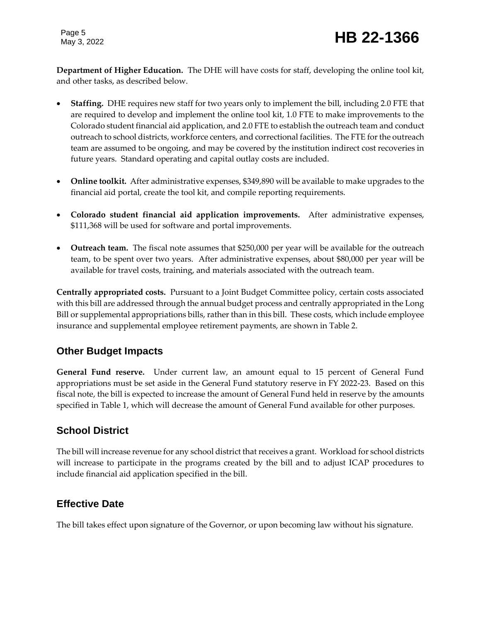**Department of Higher Education.** The DHE will have costs for staff, developing the online tool kit, and other tasks, as described below.

- **Staffing.** DHE requires new staff for two years only to implement the bill, including 2.0 FTE that are required to develop and implement the online tool kit, 1.0 FTE to make improvements to the Colorado student financial aid application, and 2.0 FTE to establish the outreach team and conduct outreach to school districts, workforce centers, and correctional facilities. The FTE for the outreach team are assumed to be ongoing, and may be covered by the institution indirect cost recoveries in future years. Standard operating and capital outlay costs are included.
- **Online toolkit.** After administrative expenses, \$349,890 will be available to make upgrades to the financial aid portal, create the tool kit, and compile reporting requirements.
- **Colorado student financial aid application improvements.** After administrative expenses, \$111,368 will be used for software and portal improvements.
- **Outreach team.** The fiscal note assumes that \$250,000 per year will be available for the outreach team, to be spent over two years. After administrative expenses, about \$80,000 per year will be available for travel costs, training, and materials associated with the outreach team.

**Centrally appropriated costs.** Pursuant to a Joint Budget Committee policy, certain costs associated with this bill are addressed through the annual budget process and centrally appropriated in the Long Bill or supplemental appropriations bills, rather than in this bill. These costs, which include employee insurance and supplemental employee retirement payments, are shown in Table 2.

#### **Other Budget Impacts**

**General Fund reserve.** Under current law, an amount equal to 15 percent of General Fund appropriations must be set aside in the General Fund statutory reserve in FY 2022-23. Based on this fiscal note, the bill is expected to increase the amount of General Fund held in reserve by the amounts specified in Table 1, which will decrease the amount of General Fund available for other purposes.

#### **School District**

The bill will increase revenue for any school district that receives a grant. Workload for school districts will increase to participate in the programs created by the bill and to adjust ICAP procedures to include financial aid application specified in the bill.

#### **Effective Date**

The bill takes effect upon signature of the Governor, or upon becoming law without his signature.